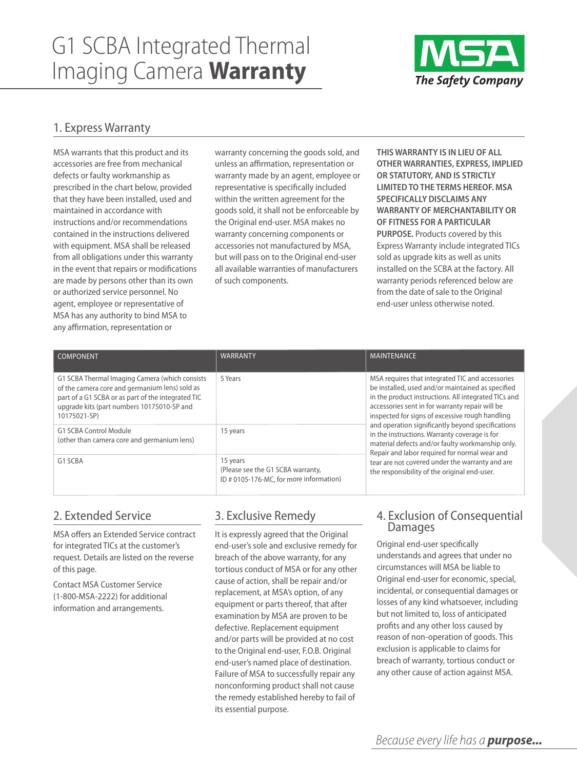## G1 SCBA Integrated Thermal Imaging Camera **Warranty**



### 1. Express Warranty

MSA warrants that this product and its accessories are free from mechanical defects or faulty workmanship as prescribed in the chart below, provided that they have been installed, used and maintained in accordance with instructions and/or recommendations contained in the instructions delivered with equipment. MSA shall be released from all obligations under this warranty in the event that repairs or modifications are made by persons other than its own or authorized service personnel. No agent, employee or representative of MSA has any authority to bind MSA to any affirmation, representation or

warranty concerning the goods sold, and unless an affirmation, representation or warranty made by an agent, employee or representative is specifically included within the written agreement for the goods sold, it shall not be enforceable by the Original end-user. MSA makes no warranty concerning components or accessories not manufactured by MSA, but will pass on to the Original end-user all available warranties of manufacturers of such components.

**THIS WARRANTY IS IN LIEU OF ALL OTHER WARRANTIES, EXPRESS, IMPLIED OR STATUTORY, AND IS STRICTLY LIMITED TOTHE TERMS HEREOF. MSA SPECIFICALLY DISCLAIMS ANY WARRANTY OF MERCHANTABILITY OR OF FITNESS FOR A PARTICULAR PURPOSE.** Products covered by this Express Warranty include integrated TICs sold as upgrade kits as well as units installed on the SCBA at the factory. All warranty periods referenced below are from the date of sale to the Original end-user unless otherwise noted.

| <b>COMPONENT</b>                                                                                                                                                                                                     | <b>WARRANTY</b>                                                                          | <b>MAINTENANCE</b>                                                                                                                                                                                                                                                                                                                                                                                                                                                                                                                                                                |
|----------------------------------------------------------------------------------------------------------------------------------------------------------------------------------------------------------------------|------------------------------------------------------------------------------------------|-----------------------------------------------------------------------------------------------------------------------------------------------------------------------------------------------------------------------------------------------------------------------------------------------------------------------------------------------------------------------------------------------------------------------------------------------------------------------------------------------------------------------------------------------------------------------------------|
| G1 SCBA Thermal Imaging Camera (which consists<br>of the camera core and germanium lens) sold as<br>part of a G1 SCBA or as part of the integrated TIC<br>upgrade kits (part numbers 10175010-SP and<br>10175021-SP) | 5 Years                                                                                  | MSA requires that integrated TIC and accessories<br>be installed, used and/or maintained as specified<br>in the product instructions. All integrated TICs and<br>accessories sent in for warranty repair will be<br>inspected for signs of excessive rough handling<br>and operation significantly beyond specifications<br>in the instructions. Warranty coverage is for<br>material defects and/or faulty workmanship only.<br>Repair and labor required for normal wear and<br>tear are not covered under the warranty and are<br>the responsibility of the original end-user. |
| <b>G1 SCBA Control Module</b><br>(other than camera core and germanium lens)                                                                                                                                         | 15 years                                                                                 |                                                                                                                                                                                                                                                                                                                                                                                                                                                                                                                                                                                   |
| G1 SCBA                                                                                                                                                                                                              | 15 years<br>(Please see the G1 SCBA warranty,<br>ID # 0105-176-MC, for more information) |                                                                                                                                                                                                                                                                                                                                                                                                                                                                                                                                                                                   |

### 2. Extended Service

MSA offers an Extended Service contract for integrated TICs at the customer's request. Details are listed on the reverse of this page.

Contact MSA Customer Service (1-800-MSA-2222) for additional information and arrangements.

### 3. Exclusive Remedy

It is expressly agreed that the Original end-user's sole and exclusive remedy for breach of the above warranty, for any tortious conduct of MSA or for any other cause of action, shall be repair and/or replacement, at MSA's option, of any equipment or parts thereof, that after examination by MSA are proven to be defective. Replacement equipment and/or parts will be provided at no cost to the Original end-user, F.O.B. Original end-user's named place of destination. Failure of MSA to successfully repair any nonconforming product shall not cause the remedy established hereby to fail of its essential purpose.

# 4. Exclusion of Consequential Damages

Original end-user specifically understands and agrees that under no circumstances will MSA be liable to Original end-user for economic, special, incidental, or consequential damages or losses of any kind whatsoever, including but not limited to, loss of anticipated profits and any other loss caused by reason of non-operation of goods. This exclusion is applicable to claims for breach of warranty, tortious conduct or any other cause of action against MSA.